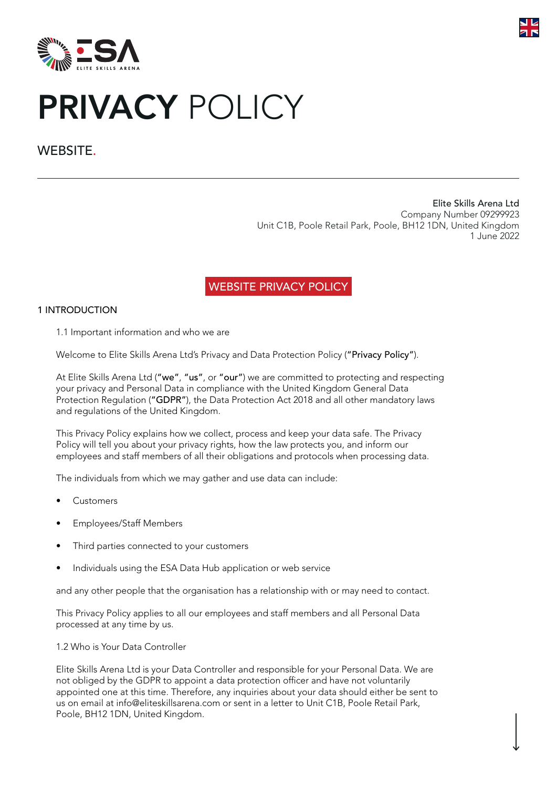



# PRIVACY POLICY

# WEBSITE.

Elite Skills Arena Ltd Company Number 09299923 Unit C1B, Poole Retail Park, Poole, BH12 1DN, United Kingdom 1 June 2022

# WEBSITE PRIVACY POLICY

# 1 INTRODUCTION

1.1 Important information and who we are

Welcome to Elite Skills Arena Ltd's Privacy and Data Protection Policy ("Privacy Policy").

At Elite Skills Arena Ltd ("we", "us", or "our") we are committed to protecting and respecting your privacy and Personal Data in compliance with the United Kingdom General Data Protection Regulation ("GDPR"), the Data Protection Act 2018 and all other mandatory laws and regulations of the United Kingdom.

This Privacy Policy explains how we collect, process and keep your data safe. The Privacy Policy will tell you about your privacy rights, how the law protects you, and inform our employees and staff members of all their obligations and protocols when processing data.

The individuals from which we may gather and use data can include:

- Customers
- Employees/Staff Members
- Third parties connected to your customers
- Individuals using the ESA Data Hub application or web service

and any other people that the organisation has a relationship with or may need to contact.

This Privacy Policy applies to all our employees and staff members and all Personal Data processed at any time by us.

1.2 Who is Your Data Controller

Elite Skills Arena Ltd is your Data Controller and responsible for your Personal Data. We are not obliged by the GDPR to appoint a data protection officer and have not voluntarily appointed one at this time. Therefore, any inquiries about your data should either be sent to us on email at info@eliteskillsarena.com or sent in a letter to Unit C1B, Poole Retail Park, Poole, BH12 1DN, United Kingdom.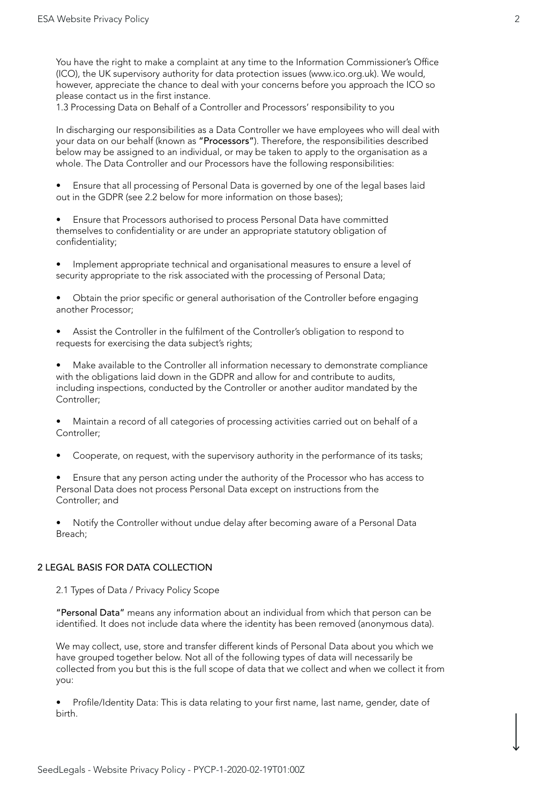You have the right to make a complaint at any time to the Information Commissioner's Office (ICO), the UK supervisory authority for data protection issues (www.ico.org.uk). We would, however, appreciate the chance to deal with your concerns before you approach the ICO so please contact us in the first instance.

1.3 Processing Data on Behalf of a Controller and Processors' responsibility to you

In discharging our responsibilities as a Data Controller we have employees who will deal with your data on our behalf (known as "Processors"). Therefore, the responsibilities described below may be assigned to an individual, or may be taken to apply to the organisation as a whole. The Data Controller and our Processors have the following responsibilities:

• Ensure that all processing of Personal Data is governed by one of the legal bases laid out in the GDPR (see 2.2 below for more information on those bases);

• Ensure that Processors authorised to process Personal Data have committed themselves to confidentiality or are under an appropriate statutory obligation of confidentiality;

• Implement appropriate technical and organisational measures to ensure a level of security appropriate to the risk associated with the processing of Personal Data;

• Obtain the prior specific or general authorisation of the Controller before engaging another Processor;

Assist the Controller in the fulfilment of the Controller's obligation to respond to requests for exercising the data subject's rights;

• Make available to the Controller all information necessary to demonstrate compliance with the obligations laid down in the GDPR and allow for and contribute to audits, including inspections, conducted by the Controller or another auditor mandated by the Controller;

• Maintain a record of all categories of processing activities carried out on behalf of a Controller;

• Cooperate, on request, with the supervisory authority in the performance of its tasks;

• Ensure that any person acting under the authority of the Processor who has access to Personal Data does not process Personal Data except on instructions from the Controller; and

• Notify the Controller without undue delay after becoming aware of a Personal Data Breach;

# 2 LEGAL BASIS FOR DATA COLLECTION

2.1 Types of Data / Privacy Policy Scope

"Personal Data" means any information about an individual from which that person can be identified. It does not include data where the identity has been removed (anonymous data).

We may collect, use, store and transfer different kinds of Personal Data about you which we have grouped together below. Not all of the following types of data will necessarily be collected from you but this is the full scope of data that we collect and when we collect it from you:

• Profile/Identity Data: This is data relating to your first name, last name, gender, date of birth.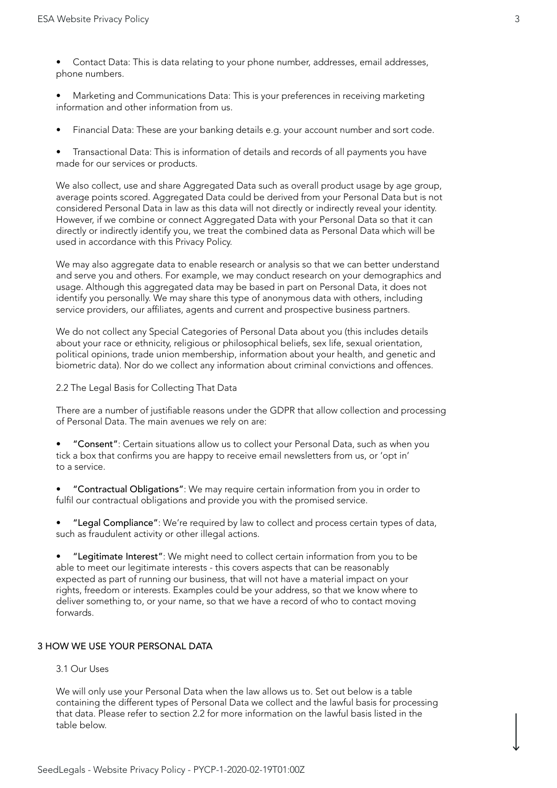- Contact Data: This is data relating to your phone number, addresses, email addresses, phone numbers.
- Marketing and Communications Data: This is your preferences in receiving marketing information and other information from us.
- Financial Data: These are your banking details e.g. your account number and sort code.

• Transactional Data: This is information of details and records of all payments you have made for our services or products.

We also collect, use and share Aggregated Data such as overall product usage by age group, average points scored. Aggregated Data could be derived from your Personal Data but is not considered Personal Data in law as this data will not directly or indirectly reveal your identity. However, if we combine or connect Aggregated Data with your Personal Data so that it can directly or indirectly identify you, we treat the combined data as Personal Data which will be used in accordance with this Privacy Policy.

We may also aggregate data to enable research or analysis so that we can better understand and serve you and others. For example, we may conduct research on your demographics and usage. Although this aggregated data may be based in part on Personal Data, it does not identify you personally. We may share this type of anonymous data with others, including service providers, our affiliates, agents and current and prospective business partners.

We do not collect any Special Categories of Personal Data about you (this includes details about your race or ethnicity, religious or philosophical beliefs, sex life, sexual orientation, political opinions, trade union membership, information about your health, and genetic and biometric data). Nor do we collect any information about criminal convictions and offences.

#### 2.2 The Legal Basis for Collecting That Data

There are a number of justifiable reasons under the GDPR that allow collection and processing of Personal Data. The main avenues we rely on are:

• "Consent": Certain situations allow us to collect your Personal Data, such as when you tick a box that confirms you are happy to receive email newsletters from us, or 'opt in' to a service.

• "Contractual Obligations": We may require certain information from you in order to fulfil our contractual obligations and provide you with the promised service.

• "Legal Compliance": We're required by law to collect and process certain types of data, such as fraudulent activity or other illegal actions.

• "Legitimate Interest": We might need to collect certain information from you to be able to meet our legitimate interests - this covers aspects that can be reasonably expected as part of running our business, that will not have a material impact on your rights, freedom or interests. Examples could be your address, so that we know where to deliver something to, or your name, so that we have a record of who to contact moving forwards.

#### 3 HOW WE USE YOUR PERSONAL DATA

#### 3.1 Our Uses

We will only use your Personal Data when the law allows us to. Set out below is a table containing the different types of Personal Data we collect and the lawful basis for processing that data. Please refer to section 2.2 for more information on the lawful basis listed in the table below.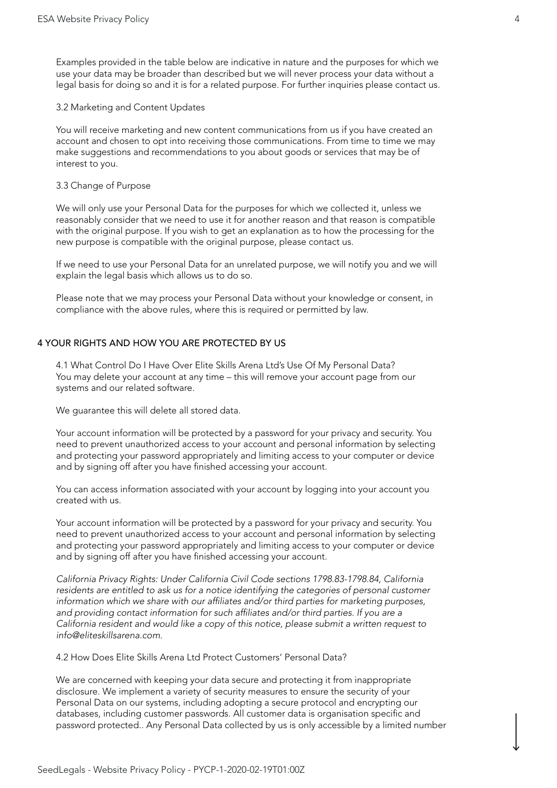Examples provided in the table below are indicative in nature and the purposes for which we use your data may be broader than described but we will never process your data without a legal basis for doing so and it is for a related purpose. For further inquiries please contact us.

#### 3.2 Marketing and Content Updates

You will receive marketing and new content communications from us if you have created an account and chosen to opt into receiving those communications. From time to time we may make suggestions and recommendations to you about goods or services that may be of interest to you.

#### 3.3 Change of Purpose

We will only use your Personal Data for the purposes for which we collected it, unless we reasonably consider that we need to use it for another reason and that reason is compatible with the original purpose. If you wish to get an explanation as to how the processing for the new purpose is compatible with the original purpose, please contact us.

If we need to use your Personal Data for an unrelated purpose, we will notify you and we will explain the legal basis which allows us to do so.

Please note that we may process your Personal Data without your knowledge or consent, in compliance with the above rules, where this is required or permitted by law.

# 4 YOUR RIGHTS AND HOW YOU ARE PROTECTED BY US

4.1 What Control Do I Have Over Elite Skills Arena Ltd's Use Of My Personal Data? You may delete your account at any time – this will remove your account page from our systems and our related software.

We guarantee this will delete all stored data.

Your account information will be protected by a password for your privacy and security. You need to prevent unauthorized access to your account and personal information by selecting and protecting your password appropriately and limiting access to your computer or device and by signing off after you have finished accessing your account.

You can access information associated with your account by logging into your account you created with us.

Your account information will be protected by a password for your privacy and security. You need to prevent unauthorized access to your account and personal information by selecting and protecting your password appropriately and limiting access to your computer or device and by signing off after you have finished accessing your account.

*California Privacy Rights: Under California Civil Code sections 1798.83-1798.84, California residents are entitled to ask us for a notice identifying the categories of personal customer* information which we share with our affiliates and/or third parties for marketing purposes, and providing contact information for such affiliates and/or third parties. If you are a *California resident and would like a copy of this notice, please submit a written request to info@eliteskillsarena.com.*

4.2 How Does Elite Skills Arena Ltd Protect Customers' Personal Data?

We are concerned with keeping your data secure and protecting it from inappropriate disclosure. We implement a variety of security measures to ensure the security of your Personal Data on our systems, including adopting a secure protocol and encrypting our databases, including customer passwords. All customer data is organisation specific and password protected.. Any Personal Data collected by us is only accessible by a limited number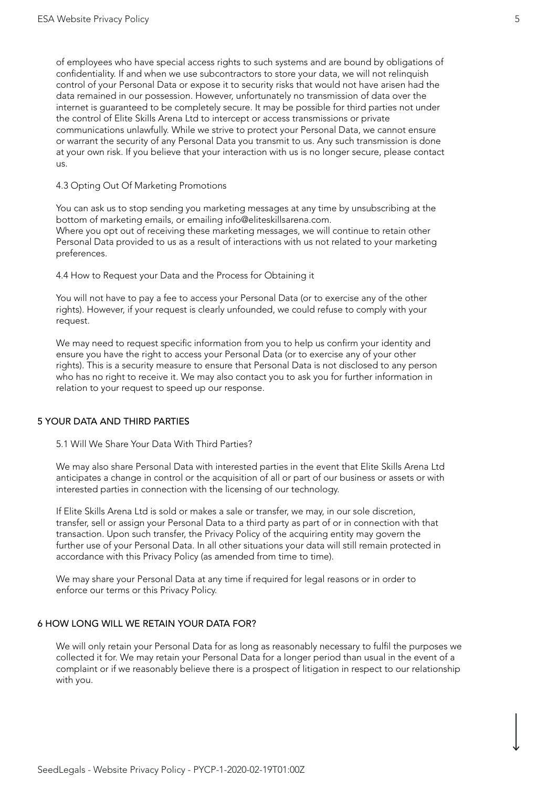of employees who have special access rights to such systems and are bound by obligations of confidentiality. If and when we use subcontractors to store your data, we will not relinquish control of your Personal Data or expose it to security risks that would not have arisen had the data remained in our possession. However, unfortunately no transmission of data over the internet is guaranteed to be completely secure. It may be possible for third parties not under the control of Elite Skills Arena Ltd to intercept or access transmissions or private communications unlawfully. While we strive to protect your Personal Data, we cannot ensure or warrant the security of any Personal Data you transmit to us. Any such transmission is done at your own risk. If you believe that your interaction with us is no longer secure, please contact us.

4.3 Opting Out Of Marketing Promotions

You can ask us to stop sending you marketing messages at any time by unsubscribing at the bottom of marketing emails, or emailing info@eliteskillsarena.com. Where you opt out of receiving these marketing messages, we will continue to retain other Personal Data provided to us as a result of interactions with us not related to your marketing preferences.

4.4 How to Request your Data and the Process for Obtaining it

You will not have to pay a fee to access your Personal Data (or to exercise any of the other rights). However, if your request is clearly unfounded, we could refuse to comply with your request.

We may need to request specific information from you to help us confirm your identity and ensure you have the right to access your Personal Data (or to exercise any of your other rights). This is a security measure to ensure that Personal Data is not disclosed to any person who has no right to receive it. We may also contact you to ask you for further information in relation to your request to speed up our response.

#### 5 YOUR DATA AND THIRD PARTIES

5.1 Will We Share Your Data With Third Parties?

We may also share Personal Data with interested parties in the event that Elite Skills Arena Ltd anticipates a change in control or the acquisition of all or part of our business or assets or with interested parties in connection with the licensing of our technology.

If Elite Skills Arena Ltd is sold or makes a sale or transfer, we may, in our sole discretion, transfer, sell or assign your Personal Data to a third party as part of or in connection with that transaction. Upon such transfer, the Privacy Policy of the acquiring entity may govern the further use of your Personal Data. In all other situations your data will still remain protected in accordance with this Privacy Policy (as amended from time to time).

We may share your Personal Data at any time if required for legal reasons or in order to enforce our terms or this Privacy Policy.

# 6 HOW LONG WILL WE RETAIN YOUR DATA FOR?

We will only retain your Personal Data for as long as reasonably necessary to fulfil the purposes we collected it for. We may retain your Personal Data for a longer period than usual in the event of a complaint or if we reasonably believe there is a prospect of litigation in respect to our relationship with you.